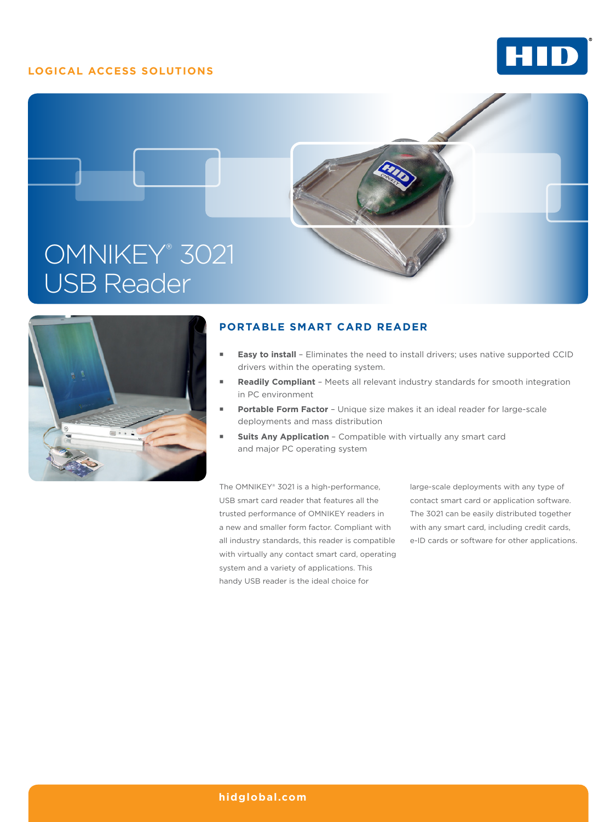## **LOGICAL ACCESS SOLUTIONS**







## **PORTABLE SMART CARD READER**

- **Easy to install** Eliminates the need to install drivers; uses native supported CCID drivers within the operating system.
- **Readily Compliant** Meets all relevant industry standards for smooth integration in PC environment
- **Portable Form Factor** Unique size makes it an ideal reader for large-scale deployments and mass distribution
- **Suits Any Application** Compatible with virtually any smart card and major PC operating system

The OMNIKEY® 3021 is a high-performance, USB smart card reader that features all the trusted performance of OMNIKEY readers in a new and smaller form factor. Compliant with all industry standards, this reader is compatible with virtually any contact smart card, operating system and a variety of applications. This handy USB reader is the ideal choice for

large-scale deployments with any type of contact smart card or application software. The 3021 can be easily distributed together with any smart card, including credit cards, e-ID cards or software for other applications.